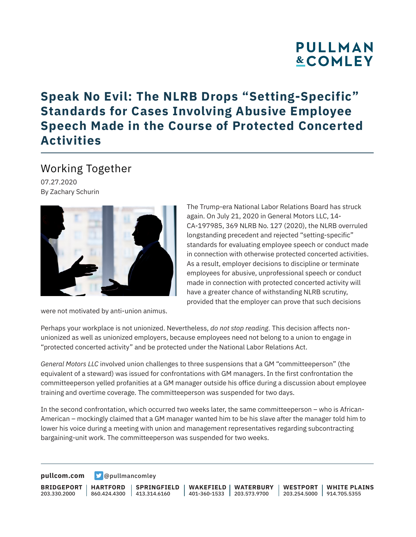# **PULLMAN &COMLEY**

### **Speak No Evil: The NLRB Drops "Setting-Specific" Standards for Cases Involving Abusive Employee Speech Made in the Course of Protected Concerted Activities**

### Working Together

07.27.2020 By Zachary Schurin



were not motivated by anti-union animus.

The Trump-era National Labor Relations Board has struck again. On July 21, 2020 in General Motors LLC, 14- CA-197985, 369 NLRB No. 127 (2020), the NLRB overruled longstanding precedent and rejected "setting-specific" standards for evaluating employee speech or conduct made in connection with otherwise protected concerted activities. As a result, employer decisions to discipline or terminate employees for abusive, unprofessional speech or conduct made in connection with protected concerted activity will have a greater chance of withstanding NLRB scrutiny, provided that the employer can prove that such decisions

Perhaps your workplace is not unionized. Nevertheless, *do not stop reading.* This decision affects nonunionized as well as unionized employers, because employees need not belong to a union to engage in "protected concerted activity" and be protected under the National Labor Relations Act.

*General Motors LLC* involved union challenges to three suspensions that a GM "committeeperson" (the equivalent of a steward) was issued for confrontations with GM managers. In the first confrontation the committeeperson yelled profanities at a GM manager outside his office during a discussion about employee training and overtime coverage. The committeeperson was suspended for two days.

In the second confrontation, which occurred two weeks later, the same committeeperson – who is African-American – mockingly claimed that a GM manager wanted him to be his slave after the manager told him to lower his voice during a meeting with union and management representatives regarding subcontracting bargaining-unit work. The committeeperson was suspended for two weeks.

**[pullcom.com](https://www.pullcom.com) g** [@pullmancomley](https://twitter.com/PullmanComley)

**BRIDGEPORT** 203.330.2000

**HARTFORD**

860.424.4300 413.314.6160 **SPRINGFIELD** **WAKEFIELD WATERBURY** 401-360-1533 203.573.9700

**WESTPORT WHITE PLAINS** 203.254.5000 914.705.5355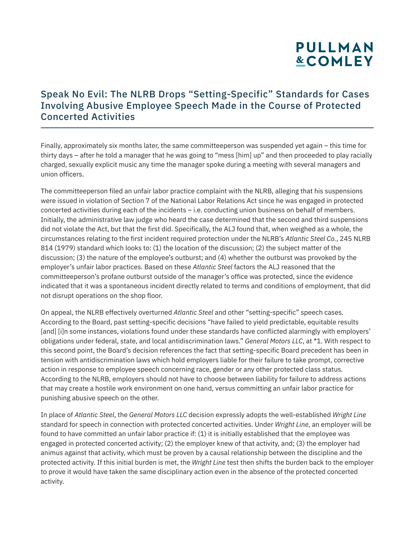# **PULLMAN &COMLEY**

#### Speak No Evil: The NLRB Drops "Setting-Specific" Standards for Cases Involving Abusive Employee Speech Made in the Course of Protected Concerted Activities

Finally, approximately six months later, the same committeeperson was suspended yet again – this time for thirty days – after he told a manager that he was going to "mess [him] up" and then proceeded to play racially charged, sexually explicit music any time the manager spoke during a meeting with several managers and union officers.

The committeeperson filed an unfair labor practice complaint with the NLRB, alleging that his suspensions were issued in violation of Section 7 of the National Labor Relations Act since he was engaged in protected concerted activities during each of the incidents – i.e. conducting union business on behalf of members. Initially, the administrative law judge who heard the case determined that the second and third suspensions did not violate the Act, but that the first did. Specifically, the ALJ found that, when weighed as a whole, the circumstances relating to the first incident required protection under the NLRB's *Atlantic Steel Co.*, 245 NLRB 814 (1979) standard which looks to: (1) the location of the discussion; (2) the subject matter of the discussion; (3) the nature of the employee's outburst; and (4) whether the outburst was provoked by the employer's unfair labor practices. Based on these *Atlantic Steel* factors the ALJ reasoned that the committeeperson's profane outburst outside of the manager's office was protected, since the evidence indicated that it was a spontaneous incident directly related to terms and conditions of employment, that did not disrupt operations on the shop floor.

On appeal, the NLRB effectively overturned *Atlantic Steel* and other "setting-specific" speech cases. According to the Board, past setting-specific decisions "have failed to yield predictable, equitable results [and] [i]n some instances, violations found under these standards have conflicted alarmingly with employers' obligations under federal, state, and local antidiscrimination laws." *General Motors LLC*, at \*1. With respect to this second point, the Board's decision references the fact that setting-specific Board precedent has been in tension with antidiscrimination laws which hold employers liable for their failure to take prompt, corrective action in response to employee speech concerning race, gender or any other protected class status. According to the NLRB, employers should not have to choose between liability for failure to address actions that may create a hostile work environment on one hand, versus committing an unfair labor practice for punishing abusive speech on the other.

In place of *Atlantic Steel*, the *General Motors LLC* decision expressly adopts the well-established *Wright Line* standard for speech in connection with protected concerted activities. Under *Wright Line*, an employer will be found to have committed an unfair labor practice if: (1) it is initially established that the employee was engaged in protected concerted activity; (2) the employer knew of that activity, and; (3) the employer had animus against that activity, which must be proven by a causal relationship between the discipline and the protected activity. If this initial burden is met, the *Wright Line* test then shifts the burden back to the employer to prove it would have taken the same disciplinary action even in the absence of the protected concerted activity.